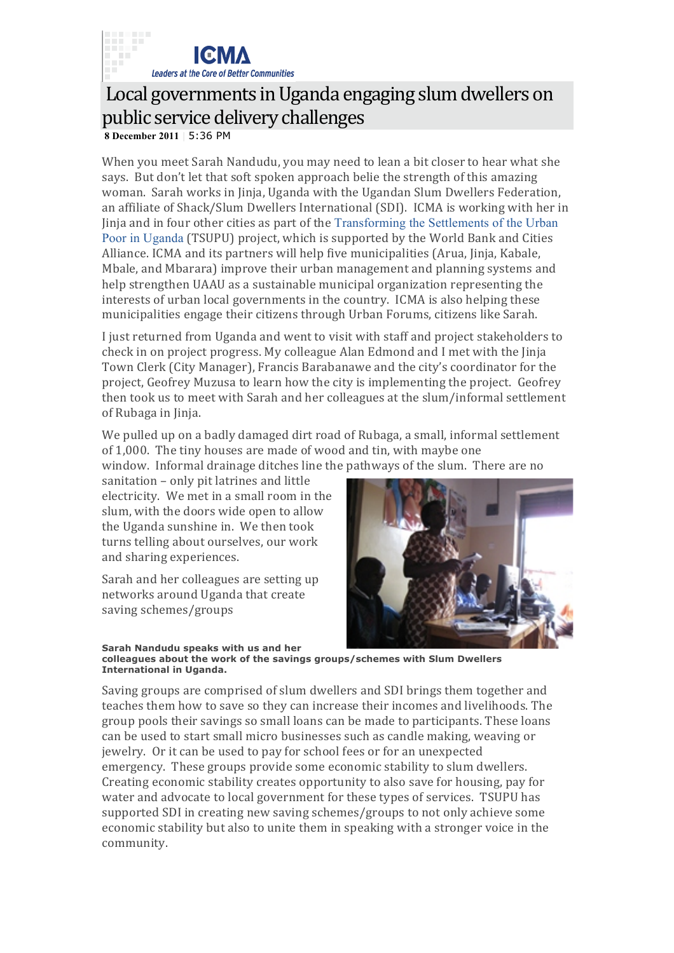

## Local governments in Uganda engaging slum dwellers on public service delivery challenges

**8 December 2011** | 5:36 PM

When you meet Sarah Nandudu, you may need to lean a bit closer to hear what she says. But don't let that soft spoken approach belie the strength of this amazing woman. Sarah works in Jinja, Uganda with the Ugandan Slum Dwellers Federation, an affiliate of Shack/Slum Dwellers International (SDI). ICMA is working with her in Jinja and in four other cities as part of the Transforming the Settlements of the Urban Poor in Uganda (TSUPU) project, which is supported by the World Bank and Cities Alliance. ICMA and its partners will help five municipalities (Arua, Jinja, Kabale, Mbale, and Mbarara) improve their urban management and planning systems and help strengthen UAAU as a sustainable municipal organization representing the interests of urban local governments in the country. ICMA is also helping these municipalities engage their citizens through Urban Forums, citizens like Sarah.

I just returned from Uganda and went to visit with staff and project stakeholders to check in on project progress. My colleague Alan Edmond and I met with the Jinja Town Clerk (City Manager), Francis Barabanawe and the city's coordinator for the project, Geofrey Muzusa to learn how the city is implementing the project. Geofrey then took us to meet with Sarah and her colleagues at the slum/informal settlement of Rubaga in Jinja.

We pulled up on a badly damaged dirt road of Rubaga, a small, informal settlement of 1,000. The tiny houses are made of wood and tin, with maybe one window. Informal drainage ditches line the pathways of the slum. There are no

sanitation - only pit latrines and little electricity. We met in a small room in the slum, with the doors wide open to allow the Uganda sunshine in. We then took turns telling about ourselves, our work and sharing experiences.

Sarah and her colleagues are setting up networks around Uganda that create saving schemes/groups



**Sarah Nandudu speaks with us and her colleagues about the work of the savings groups/schemes with Slum Dwellers International in Uganda.**

Saving groups are comprised of slum dwellers and SDI brings them together and teaches them how to save so they can increase their incomes and livelihoods. The group pools their savings so small loans can be made to participants. These loans can be used to start small micro businesses such as candle making, weaving or jewelry. Or it can be used to pay for school fees or for an unexpected emergency. These groups provide some economic stability to slum dwellers. Creating economic stability creates opportunity to also save for housing, pay for water and advocate to local government for these types of services. TSUPU has supported SDI in creating new saving schemes/groups to not only achieve some economic stability but also to unite them in speaking with a stronger voice in the community.